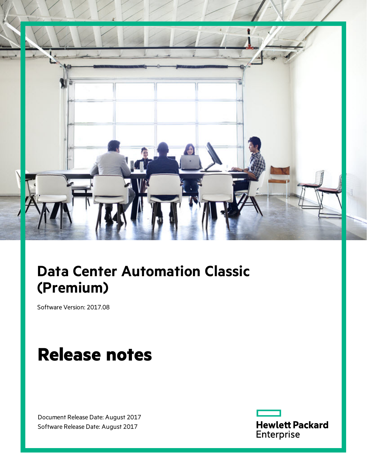

# **Data Center Automation Classic (Premium)**

Software Version: 2017.08

# **Release notes**

Document Release Date: August 2017 Software Release Date: August 2017

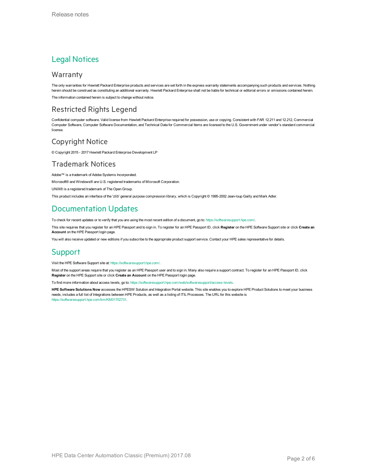### Legal Notices

#### **Warranty**

The only warranties for Hewlett Packard Enterprise products and services are set forth in the express warranty statements accompanying such products and services. Nothing herein should be construed as constituting an additional warranty. Hewlett Packard Enterprise shall not be liable for technical or editorial errors or omissions contained herein. The information contained herein is subject to change without notice.

#### Restricted Rights Legend

Confidential computer software. Valid license from Hewlett Packard Enterprise required for possession, use or copying. Consistent with FAR 12.211 and 12.212, Commercial Computer Software, Computer Software Documentation, and Technical Data for Commercial Items are licensed to the U.S. Government under vendor's standard commercial license.

#### Copyright Notice

© Copyright 2015 - 2017 Hewlett Packard Enterprise Development LP

#### Trademark Notices

Adobe™ is a trademark of Adobe Systems Incorporated.

Microsoft® and Windows® are U.S. registered trademarks of Microsoft Corporation.

UNIX® is a registered trademark of The Open Group.

This product includes an interface of the 'zlib' general purpose compression library, which is Copyright © 1995-2002 Jean-loup Gailly and Mark Adler.

### Documentation Updates

To check for recent updates or to verify that you are using the most recent edition of a document, go to: <https://softwaresupport.hpe.com/>.

This site requires that you register for an HPE Passport and to sign in. To register for an HPE Passport ID, click **Register** on the HPE Software Support site or click **Create an Account** on the HPE Passport login page.

You will also receive updated or new editions if you subscribe to the appropriate product support service. Contact your HPE sales representative for details.

#### Support

Visit the HPE Software Support site at: <https://softwaresupport.hpe.com/>.

Most of the support areas require that you register as an HPE Passport user and to sign in. Many also require a support contract. To register for an HPE Passport ID, click **Register** on the HPE Support site or click **Create an Account** on the HPE Passport login page.

To find more information about access levels, go to: <https://softwaresupport.hpe.com/web/softwaresupport/access-levels>.

**HPE Software Solutions Now** accesses the HPESW Solution and Integration Portal website. This site enables you to explore HPE Product Solutions to meet your business needs, includes a full list of Integrations between HPE Products, as well as a listing of ITIL Processes. The URL for this website is [https://softwaresupport.hpe.com/km/KM01702731.](https://softwaresupport.hpe.com/km/KM01702731)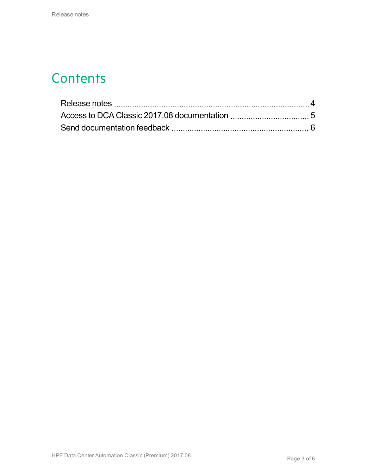### **Contents**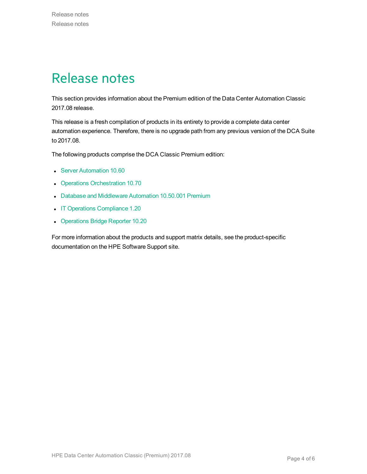### <span id="page-3-0"></span>Release notes

This section provides information about the Premium edition of the Data Center Automation Classic 2017.08 release.

This release is a fresh compilation of products in its entirety to provide a complete data center automation experience. Therefore, there is no upgrade path from any previous version of the DCA Suite to 2017.08.

The following products comprise the DCA Classic Premium edition:

- **.** Server [Automation](https://docs.software.hpe.com/SA/10.60/Content/Release_Notes/release_notes.htm) 10.60
- Operations [Orchestration](http://docs.software.hpe.com/OO/10.70/Content/ReleaseNotes_Welcome.htm) 10.70
- Database and [Middleware](https://docs.software.hpe.com/DMA/10.50.001/Premium/Content/Home.htm) Automation 10.50.001 Premium
- IT Operations [Compliance](http://docs.software.hpe.com/ITOC/1.20/Content/ITOC_Content/release_notes_cover_page.htm) 1.20
- [Operations](https://docs.software.hpe.com/OBR/10.20/Content/Home.htm) Bridge Reporter 10.20

For more information about the products and support matrix details, see the product-specific documentation on the HPE Software Support site.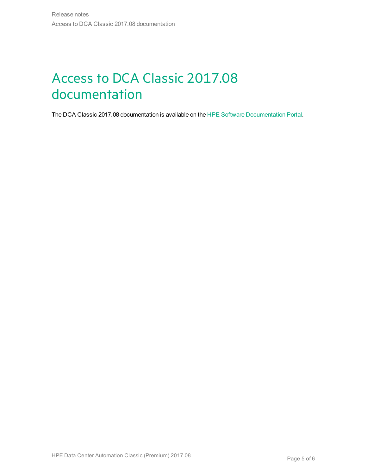## <span id="page-4-0"></span>Access to DCA Classic 2017.08 documentation

The DCA Classic 2017.08 documentation is available on the HPE Software [Documentation](https://docs.software.hpe.com/DCA/2017.08/Content/Home.htm) Portal.